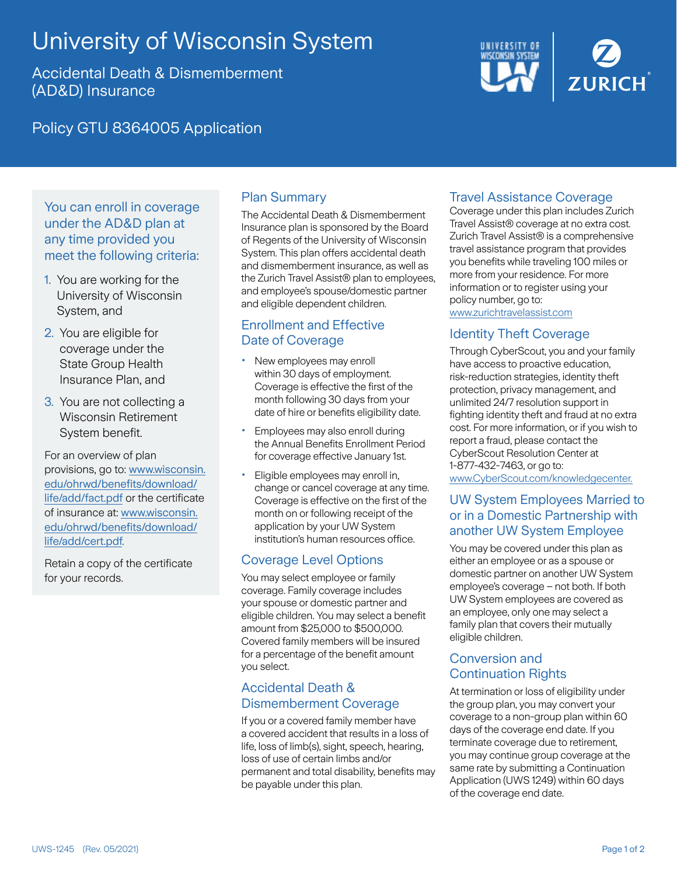# University of Wisconsin System

Accidental Death & Dismemberment (AD&D) Insurance



Policy GTU 8364005 Application

# You can enroll in coverage under the AD&D plan at any time provided you meet the following criteria:

- 1. You are working for the University of Wisconsin System, and
- 2. You are eligible for coverage under the State Group Health Insurance Plan, and
- 3. You are not collecting a Wisconsin Retirement System benefit.

For an overview of plan provisions, go to: [www.wisconsin.](http://www.wisconsin.edu/ohrwd/benefits/download/life/add/fact.pdf) [edu/ohrwd/benefits/download/](http://www.wisconsin.edu/ohrwd/benefits/download/life/add/fact.pdf) [life/add/fact.pdf](http://www.wisconsin.edu/ohrwd/benefits/download/life/add/fact.pdf) or the certificate of insurance at: [www.wisconsin.](http://www.wisconsin.edu/ohrwd/benefits/download/life/add/cert.pdf) [edu/ohrwd/benefits/download/](http://www.wisconsin.edu/ohrwd/benefits/download/life/add/cert.pdf) [life/add/cert.pdf](http://www.wisconsin.edu/ohrwd/benefits/download/life/add/cert.pdf).

Retain a copy of the certificate for your records.

# Plan Summary

The Accidental Death & Dismemberment Insurance plan is sponsored by the Board of Regents of the University of Wisconsin System. This plan offers accidental death and dismemberment insurance, as well as the Zurich Travel Assist® plan to employees, and employee's spouse/domestic partner and eligible dependent children.

# Enrollment and Effective Date of Coverage

- New employees may enroll within 30 days of employment. Coverage is effective the first of the month following 30 days from your date of hire or benefits eligibility date.
- Employees may also enroll during the Annual Benefits Enrollment Period for coverage effective January 1st.
- Eligible employees may enroll in, change or cancel coverage at any time. Coverage is effective on the first of the month on or following receipt of the application by your UW System institution's human resources office.

# Coverage Level Options

You may select employee or family coverage. Family coverage includes your spouse or domestic partner and eligible children. You may select a benefit amount from \$25,000 to \$500,000. Covered family members will be insured for a percentage of the benefit amount you select.

## Accidental Death & Dismemberment Coverage

If you or a covered family member have a covered accident that results in a loss of life, loss of limb(s), sight, speech, hearing, loss of use of certain limbs and/or permanent and total disability, benefits may be payable under this plan.

# Travel Assistance Coverage

Coverage under this plan includes Zurich Travel Assist® coverage at no extra cost. Zurich Travel Assist® is a comprehensive travel assistance program that provides you benefits while traveling 100 miles or more from your residence. For more information or to register using your policy number, go to:

[www.zurichtravelassist.com](http://www.zurichtravelassist.com)

# Identity Theft Coverage

Through CyberScout, you and your family have access to proactive education, risk-reduction strategies, identity theft protection, privacy management, and unlimited 24/7 resolution support in fighting identity theft and fraud at no extra cost. For more information, or if you wish to report a fraud, please contact the CyberScout Resolution Center at 1-877-432-7463, or go to: [www.CyberScout.com/knowledgecenter](http://www.CyberScout.com/knowledgecenter).

## UW System Employees Married to or in a Domestic Partnership with another UW System Employee

You may be covered under this plan as either an employee or as a spouse or domestic partner on another UW System employee's coverage – not both. If both UW System employees are covered as an employee, only one may select a family plan that covers their mutually eligible children.

## Conversion and Continuation Rights

At termination or loss of eligibility under the group plan, you may convert your coverage to a non-group plan within 60 days of the coverage end date. If you terminate coverage due to retirement, you may continue group coverage at the same rate by submitting a Continuation Application (UWS 1249) within 60 days of the coverage end date.